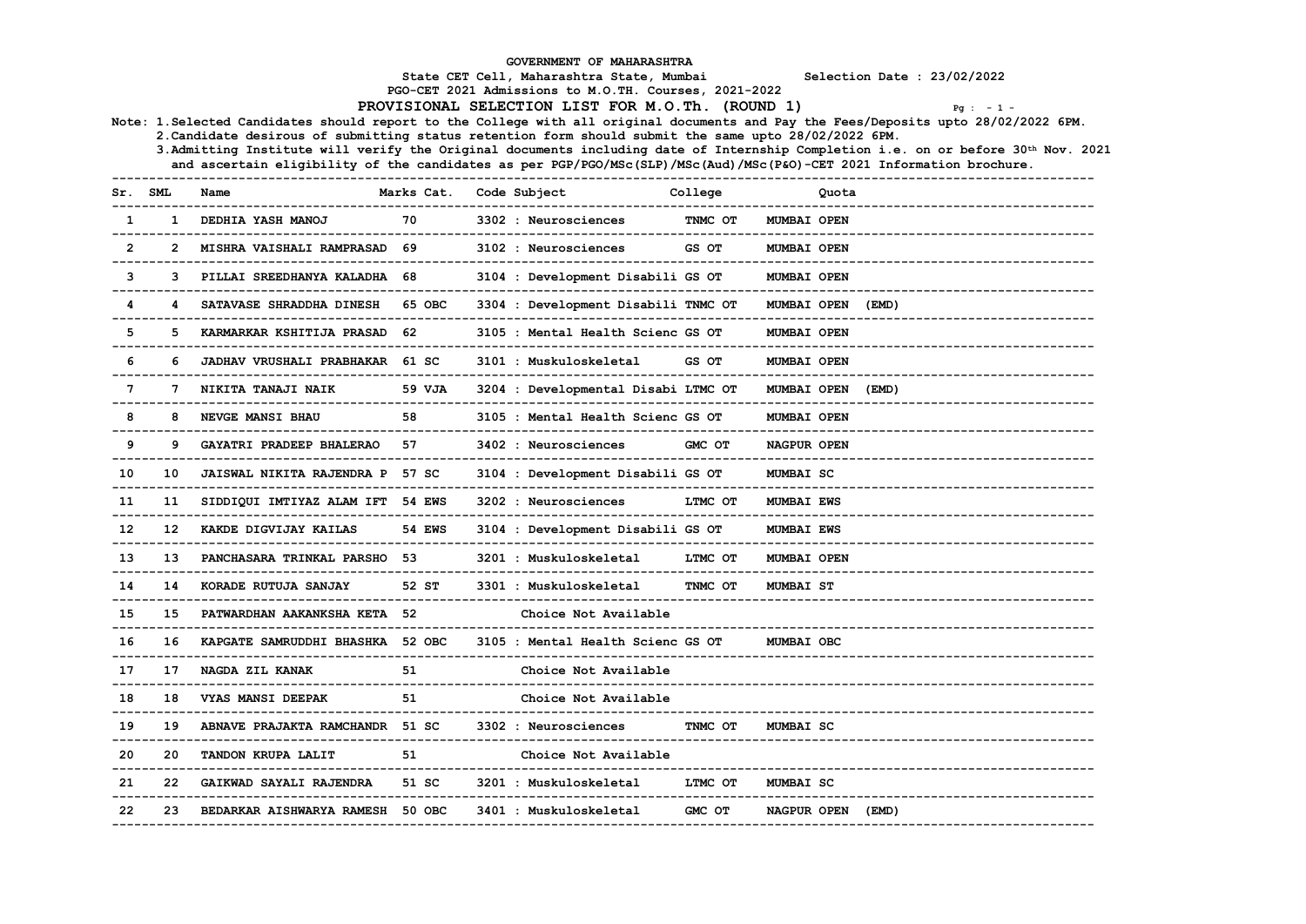|                |                 |                                                                                                                      |                                                 | GOVERNMENT OF MAHARASHTRA                                                                          |                          |                           |                                                                                                                                     |
|----------------|-----------------|----------------------------------------------------------------------------------------------------------------------|-------------------------------------------------|----------------------------------------------------------------------------------------------------|--------------------------|---------------------------|-------------------------------------------------------------------------------------------------------------------------------------|
|                |                 |                                                                                                                      |                                                 | State CET Cell, Maharashtra State, Mumbai<br>PGO-CET 2021 Admissions to M.O.TH. Courses, 2021-2022 |                          |                           | Selection Date : 23/02/2022                                                                                                         |
|                |                 |                                                                                                                      |                                                 | PROVISIONAL SELECTION LIST FOR M.O.Th. (ROUND 1)                                                   |                          |                           | $Pq : -1 -$                                                                                                                         |
|                |                 |                                                                                                                      |                                                 |                                                                                                    |                          |                           | Note: 1.Selected Candidates should report to the College with all original documents and Pay the Fees/Deposits upto 28/02/2022 6PM. |
|                |                 | 2. Candidate desirous of submitting status retention form should submit the same upto 28/02/2022 6PM.                |                                                 |                                                                                                    |                          |                           |                                                                                                                                     |
|                |                 | and ascertain eligibility of the candidates as per PGP/PGO/MSc(SLP)/MSc(Aud)/MSc(P&O)-CET 2021 Information brochure. |                                                 |                                                                                                    |                          |                           | 3.Admitting Institute will verify the Original documents including date of Internship Completion i.e. on or before 30th Nov. 2021   |
|                |                 |                                                                                                                      |                                                 | ------------------                                                                                 |                          |                           |                                                                                                                                     |
| Sr. SML        |                 | Name                                                                                                                 | Marks Cat. Code Subject<br>-------------------- | --------------------                                                                               | College                  | Quota<br>---------------  |                                                                                                                                     |
| $\mathbf{1}$   | 1.              | DEDHIA YASH MANOJ<br>____________________________                                                                    | 70                                              | 3302 : Neurosciences                                                                               | TNMC OT<br>------------- | MUMBAI OPEN               |                                                                                                                                     |
| $\overline{2}$ |                 | MISHRA VAISHALI RAMPRASAD<br>--------------------------                                                              | 69                                              | 3102 : Neurosciences<br>-------------------------------------                                      | GS OT                    | MUMBAI OPEN<br>---------- |                                                                                                                                     |
| 3              |                 | PILLAI SREEDHANYA KALADHA 68                                                                                         |                                                 | 3104 : Development Disabili GS OT                                                                  |                          | <b>MUMBAI OPEN</b>        |                                                                                                                                     |
| 4              |                 | SATAVASE SHRADDHA DINESH<br>--------------------------------                                                         | 65 OBC                                          | 3304 : Development Disabili TNMC OT<br>-------------------------------------                       |                          | MUMBAI OPEN (EMD)         |                                                                                                                                     |
| 5              |                 | KARMARKAR KSHITIJA PRASAD 62                                                                                         |                                                 | 3105 : Mental Health Scienc GS OT                                                                  |                          | MUMBAI OPEN               |                                                                                                                                     |
| 6              |                 | JADHAV VRUSHALI PRABHAKAR 61 SC                                                                                      |                                                 | 3101 : Muskuloskeletal                                                                             | GS OT                    | <b>MUMBAI OPEN</b>        |                                                                                                                                     |
| 7              |                 | NIKITA TANAJI NAIK<br>_________________________________                                                              | 59 VJA                                          | 3204 : Developmental Disabi LTMC OT                                                                |                          | <b>MUMBAI OPEN</b>        | (EMD)                                                                                                                               |
| 8              | я               | NEVGE MANSI BHAU                                                                                                     | 58                                              | 3105 : Mental Health Scienc GS OT                                                                  |                          | MUMBAI OPEN               |                                                                                                                                     |
| 9              |                 | GAYATRI PRADEEP BHALERAO                                                                                             | 57                                              | 3402 : Neurosciences                                                                               | GMC OT                   | NAGPUR OPEN               | -------------------------------                                                                                                     |
| 10             | 10              | JAISWAL NIKITA RAJENDRA P 57 SC                                                                                      |                                                 | 3104 : Development Disabili GS OT<br>__________________________________                            |                          | MUMBAI SC                 |                                                                                                                                     |
| 11             |                 | SIDDIOUI IMTIYAZ ALAM IFT 54 EWS<br>---------------------------                                                      |                                                 | 3202 : Neurosciences<br>---------------------------------                                          | LTMC OT                  | <b>MUMBAI EWS</b>         |                                                                                                                                     |
| 12             | 12 <sup>2</sup> | KAKDE DIGVIJAY KAILAS                                                                                                | 54 EWS                                          | 3104 : Development Disabili GS OT                                                                  |                          | <b>MUMBAI EWS</b>         |                                                                                                                                     |
| 13             | 13              | PANCHASARA TRINKAL PARSHO<br>---------------------------                                                             | 53.                                             | 3201 : Muskuloskeletal<br>----------------------------                                             | LTMC OT                  | MUMBAI OPEN               |                                                                                                                                     |
| 14             | 14              | KORADE RUTUJA SANJAY<br>------------------                                                                           | 52 ST                                           | 3301 : Muskuloskeletal                                                                             | TNMC OT                  | <b>MUMBAI ST</b>          |                                                                                                                                     |
| 15             | 15              | PATWARDHAN AAKANKSHA KETA 52                                                                                         |                                                 | Choice Not Available                                                                               |                          |                           |                                                                                                                                     |
| 16             | 16              | KAPGATE SAMRUDDHI BHASHKA 52 OBC                                                                                     |                                                 | 3105 : Mental Health Scienc GS OT                                                                  |                          | <b>MUMBAI OBC</b>         |                                                                                                                                     |
| 17             | 17              | NAGDA ZIL KANAK<br>---------------------------------                                                                 | 51                                              | Choice Not Available<br>____________________________                                               |                          |                           |                                                                                                                                     |
| 18             | 18              | VYAS MANSI DEEPAK                                                                                                    | 51                                              | Choice Not Available                                                                               |                          |                           |                                                                                                                                     |
| 19             | 19              | ABNAVE PRAJAKTA RAMCHANDR 51 SC                                                                                      |                                                 | 3302 : Neurosciences                                                                               | TNMC OT                  | MUMBAI SC                 |                                                                                                                                     |
| 20             | 20              | TANDON KRUPA LALIT<br>---------------------                                                                          | 51<br>-----                                     | Choice Not Available                                                                               |                          |                           |                                                                                                                                     |
| 21             | 22              | GAIKWAD SAYALI RAJENDRA                                                                                              | 51 SC                                           | 3201 : Muskuloskeletal                                                                             | LTMC OT                  | MUMBAI SC                 |                                                                                                                                     |
| 22             | 23              | BEDARKAR AISHWARYA RAMESH 50 OBC<br>______________________________                                                   |                                                 | 3401 : Muskuloskeletal                                                                             | GMC OT                   | <b>NAGPUR OPEN</b>        | (EMD)                                                                                                                               |
|                |                 |                                                                                                                      |                                                 |                                                                                                    |                          |                           |                                                                                                                                     |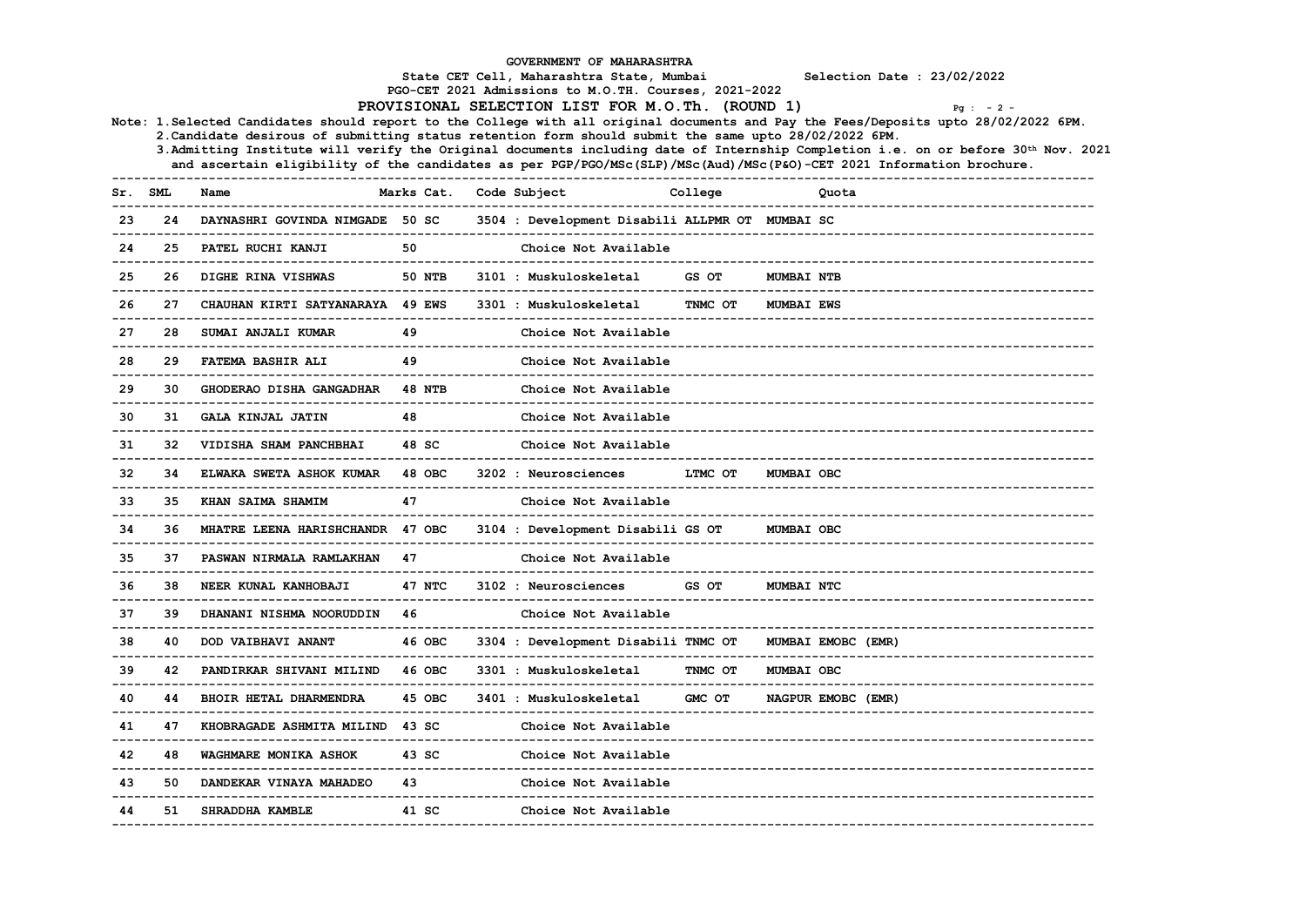| GOVERNMENT OF MAHARASHTRA<br>State CET Cell, Maharashtra State, Mumbai<br>Selection Date : 23/02/2022<br>PGO-CET 2021 Admissions to M.O.TH. Courses, 2021-2022<br>PROVISIONAL SELECTION LIST FOR M.O.Th. (ROUND 1)<br>$Pg : -2 -$<br>Note: 1.Selected Candidates should report to the College with all original documents and Pay the Fees/Deposits upto 28/02/2022 6PM.<br>2. Candidate desirous of submitting status retention form should submit the same upto 28/02/2022 6PM. |             |                                                                 |                               |  |                                                                  |                        |                             |                                                                                                                                                                                                                                                            |  |  |  |  |
|-----------------------------------------------------------------------------------------------------------------------------------------------------------------------------------------------------------------------------------------------------------------------------------------------------------------------------------------------------------------------------------------------------------------------------------------------------------------------------------|-------------|-----------------------------------------------------------------|-------------------------------|--|------------------------------------------------------------------|------------------------|-----------------------------|------------------------------------------------------------------------------------------------------------------------------------------------------------------------------------------------------------------------------------------------------------|--|--|--|--|
|                                                                                                                                                                                                                                                                                                                                                                                                                                                                                   |             |                                                                 |                               |  | -----------------                                                |                        |                             | 3. Admitting Institute will verify the Original documents including date of Internship Completion i.e. on or before 30th Nov. 2021<br>and ascertain eligibility of the candidates as per PGP/PGO/MSc(SLP)/MSc(Aud)/MSc(P&O)-CET 2021 Information brochure. |  |  |  |  |
| Sr. SML                                                                                                                                                                                                                                                                                                                                                                                                                                                                           | ----------- | Name                                                            | Marks Cat.<br>--------------- |  | Code Subject<br>_________________                                | College                |                             | Quota                                                                                                                                                                                                                                                      |  |  |  |  |
| 23                                                                                                                                                                                                                                                                                                                                                                                                                                                                                | 24          | DAYNASHRI GOVINDA NIMGADE 50 SC<br>---------------------------- |                               |  | 3504 : Development Disabili ALLPMR OT MUMBAI SC                  |                        |                             |                                                                                                                                                                                                                                                            |  |  |  |  |
| 24                                                                                                                                                                                                                                                                                                                                                                                                                                                                                | 25          | PATEL RUCHI KANJI<br>___________________________________        | 50                            |  | Choice Not Available                                             |                        |                             |                                                                                                                                                                                                                                                            |  |  |  |  |
| 25                                                                                                                                                                                                                                                                                                                                                                                                                                                                                | 26          | DIGHE RINA VISHWAS<br>---------------------------               | 50 NTB                        |  | 3101 : Muskuloskeletal<br>______________________________________ | GS OT<br>------------- | <b>MUMBAI NTB</b>           |                                                                                                                                                                                                                                                            |  |  |  |  |
| 26                                                                                                                                                                                                                                                                                                                                                                                                                                                                                | 27          | CHAUHAN KIRTI SATYANARAYA 49 EWS                                |                               |  | 3301 : Muskuloskeletal<br>-------------------------------        | TNMC OT                | <b>MUMBAI EWS</b>           |                                                                                                                                                                                                                                                            |  |  |  |  |
| 27                                                                                                                                                                                                                                                                                                                                                                                                                                                                                | 28          | SUMAI ANJALI KUMAR<br>---------------------                     | 49                            |  | Choice Not Available<br>_______________________                  |                        |                             |                                                                                                                                                                                                                                                            |  |  |  |  |
| 28                                                                                                                                                                                                                                                                                                                                                                                                                                                                                | 29          | <b>FATEMA BASHIR ALI</b>                                        | 49                            |  | Choice Not Available                                             |                        |                             |                                                                                                                                                                                                                                                            |  |  |  |  |
| 29                                                                                                                                                                                                                                                                                                                                                                                                                                                                                | 30          | GHODERAO DISHA GANGADHAR<br>----------------------------        | <b>48 NTB</b>                 |  | Choice Not Available<br>________________________                 |                        |                             |                                                                                                                                                                                                                                                            |  |  |  |  |
| 30                                                                                                                                                                                                                                                                                                                                                                                                                                                                                | 31          | GALA KINJAL JATIN<br>----------------------------               | 48                            |  | Choice Not Available                                             |                        |                             |                                                                                                                                                                                                                                                            |  |  |  |  |
| 31                                                                                                                                                                                                                                                                                                                                                                                                                                                                                | 32          | VIDISHA SHAM PANCHBHAI<br>-----------------------               | 48 SC                         |  | Choice Not Available<br>----------------------------             |                        |                             |                                                                                                                                                                                                                                                            |  |  |  |  |
| 32                                                                                                                                                                                                                                                                                                                                                                                                                                                                                | 34          | ELWAKA SWETA ASHOK KUMAR                                        | 48 OBC                        |  | 3202 : Neurosciences                                             | LTMC OT                | MUMBAI OBC                  |                                                                                                                                                                                                                                                            |  |  |  |  |
| 33                                                                                                                                                                                                                                                                                                                                                                                                                                                                                | 35          | KHAN SAIMA SHAMIM                                               | 47                            |  | Choice Not Available                                             |                        |                             |                                                                                                                                                                                                                                                            |  |  |  |  |
| 34                                                                                                                                                                                                                                                                                                                                                                                                                                                                                | 36          | -------------------------<br>MHATRE LEENA HARISHCHANDR 47 OBC   |                               |  | 3104 : Development Disabili GS OT                                |                        | MUMBAI OBC                  |                                                                                                                                                                                                                                                            |  |  |  |  |
| 35                                                                                                                                                                                                                                                                                                                                                                                                                                                                                | 37          | PASWAN NIRMALA RAMLAKHAN<br>---------------------------         | 47                            |  | Choice Not Available                                             |                        |                             |                                                                                                                                                                                                                                                            |  |  |  |  |
| 36                                                                                                                                                                                                                                                                                                                                                                                                                                                                                | 38          | NEER KUNAL KANHOBAJI<br>----------------------------            | 47 NTC                        |  | 3102 : Neurosciences                                             | GS OT                  | MUMBAI NTC                  |                                                                                                                                                                                                                                                            |  |  |  |  |
| 37                                                                                                                                                                                                                                                                                                                                                                                                                                                                                | 39          | DHANANI NISHMA NOORUDDIN                                        | 46                            |  | Choice Not Available<br>_____________________                    |                        |                             |                                                                                                                                                                                                                                                            |  |  |  |  |
| 38                                                                                                                                                                                                                                                                                                                                                                                                                                                                                | 40          | ----------------------<br>DOD VAIBHAVI ANANT                    | 46 OBC                        |  | 3304 : Development Disabili TNMC OT                              |                        |                             | MUMBAI EMOBC (EMR)                                                                                                                                                                                                                                         |  |  |  |  |
| 39                                                                                                                                                                                                                                                                                                                                                                                                                                                                                | 42          | PANDIRKAR SHIVANI MILIND<br>____________________________        | 46 OBC                        |  | 3301 : Muskuloskeletal<br>____________________________           | TNMC OT                | _____________<br>MUMBAI OBC |                                                                                                                                                                                                                                                            |  |  |  |  |
| 40                                                                                                                                                                                                                                                                                                                                                                                                                                                                                | 44          | BHOIR HETAL DHARMENDRA<br>_______________________________       | 45 OBC                        |  | 3401 : Muskuloskeletal                                           | GMC OT                 |                             | NAGPUR EMOBC (EMR)                                                                                                                                                                                                                                         |  |  |  |  |
| 41                                                                                                                                                                                                                                                                                                                                                                                                                                                                                | 47          | KHOBRAGADE ASHMITA MILIND                                       | 43 SC                         |  | Choice Not Available                                             |                        |                             |                                                                                                                                                                                                                                                            |  |  |  |  |
| 42                                                                                                                                                                                                                                                                                                                                                                                                                                                                                | 48          | WAGHMARE MONIKA ASHOK                                           | 43 SC                         |  | Choice Not Available                                             |                        |                             |                                                                                                                                                                                                                                                            |  |  |  |  |
| 43                                                                                                                                                                                                                                                                                                                                                                                                                                                                                | 50          | --------------------------<br>DANDEKAR VINAYA MAHADEO           | 43                            |  | Choice Not Available                                             |                        |                             |                                                                                                                                                                                                                                                            |  |  |  |  |
| 44                                                                                                                                                                                                                                                                                                                                                                                                                                                                                | 51.         | ----------------------<br>SHRADDHA KAMBLE                       | 41 SC                         |  | Choice Not Available                                             |                        |                             |                                                                                                                                                                                                                                                            |  |  |  |  |
|                                                                                                                                                                                                                                                                                                                                                                                                                                                                                   |             |                                                                 |                               |  | -----------------------                                          |                        |                             |                                                                                                                                                                                                                                                            |  |  |  |  |